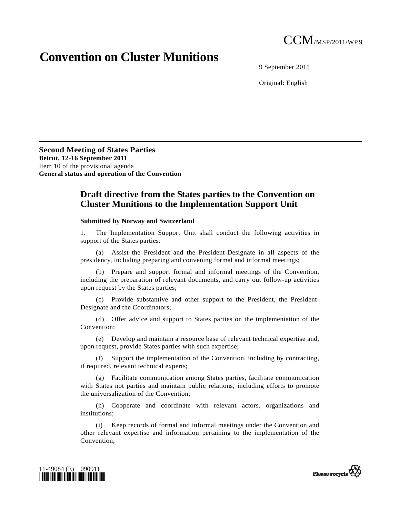## **Convention on Cluster Munitions**

9 September 2011

Original: English

**Second Meeting of States Parties Beirut, 12-16 September 2011**  Item 10 of the provisional agenda **General status and operation of the Convention** 

## **Draft directive from the States parties to the Convention on Cluster Munitions to the Implementation Support Unit**

## **Submitted by Norway and Switzerland**

1. The Implementation Support Unit shall conduct the following activities in support of the States parties:

 (a) Assist the President and the President-Designate in all aspects of the presidency, including preparing and convening formal and informal meetings;

 (b) Prepare and support formal and informal meetings of the Convention, including the preparation of relevant documents, and carry out follow-up activities upon request by the States parties;

 (c) Provide substantive and other support to the President, the President-Designate and the Coordinators;

 (d) Offer advice and support to States parties on the implementation of the Convention;

 (e) Develop and maintain a resource base of relevant technical expertise and, upon request, provide States parties with such expertise;

 (f) Support the implementation of the Convention, including by contracting, if required, relevant technical experts;

 (g) Facilitate communication among States parties, facilitate communication with States not parties and maintain public relations, including efforts to promote the universalization of the Convention;

 (h) Cooperate and coordinate with relevant actors, organizations and institutions;

 (i) Keep records of formal and informal meetings under the Convention and other relevant expertise and information pertaining to the implementation of the Convention;